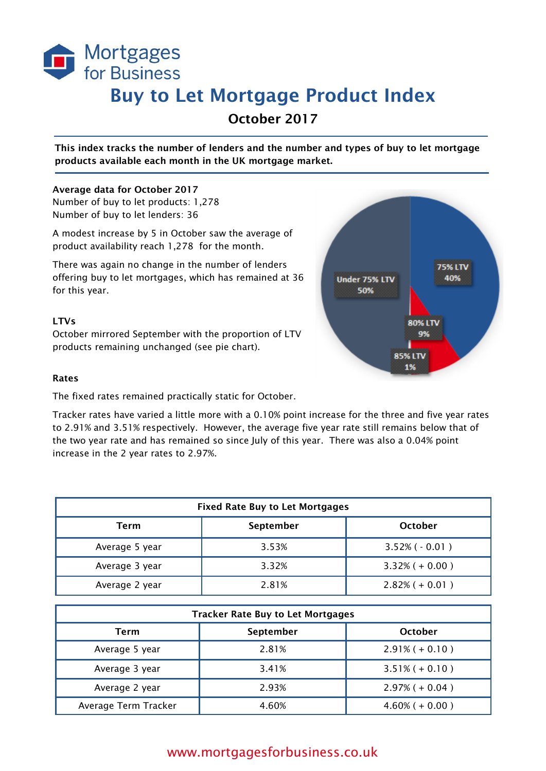

# Buy to Let Mortgage Product Index

October 2017

This index tracks the number of lenders and the number and types of buy to let mortgage products available each month in the UK mortgage market.

#### Average data for October 2017

Number of buy to let products: 1,278 Number of buy to let lenders: 36

A modest increase by 5 in October saw the average of product availability reach 1,278 for the month.

There was again no change in the number of lenders offering buy to let mortgages, which has remained at 36 for this year.

### LTVs

October mirrored September with the proportion of LTV products remaining unchanged (see pie chart).



#### Rates

The fixed rates remained practically static for October.

Tracker rates have varied a little more with a 0.10% point increase for the three and five year rates to 2.91% and 3.51% respectively. However, the average five year rate still remains below that of the two year rate and has remained so since July of this year. There was also a 0.04% point increase in the 2 year rates to 2.97%.

| <b>Fixed Rate Buy to Let Mortgages</b> |           |                      |  |
|----------------------------------------|-----------|----------------------|--|
| Term                                   | September | October              |  |
| Average 5 year                         | 3.53%     | $3.52\%$ ( $-0.01$ ) |  |
| Average 3 year                         | 3.32%     | $3.32\% (+ 0.00)$    |  |
| Average 2 year                         | 2.81%     | $2.82\% (+ 0.01)$    |  |

| <b>Tracker Rate Buy to Let Mortgages</b> |           |                      |
|------------------------------------------|-----------|----------------------|
| Term                                     | September | <b>October</b>       |
| Average 5 year                           | 2.81%     | $2.91\% (+ 0.10)$    |
| Average 3 year                           | 3.41%     | $3.51\% (+ 0.10)$    |
| Average 2 year                           | 2.93%     | $2.97\% (+ 0.04)$    |
| Average Term Tracker                     | 4.60%     | $4.60\%$ ( $+0.00$ ) |

## www.mortgagesforbusiness.co.uk